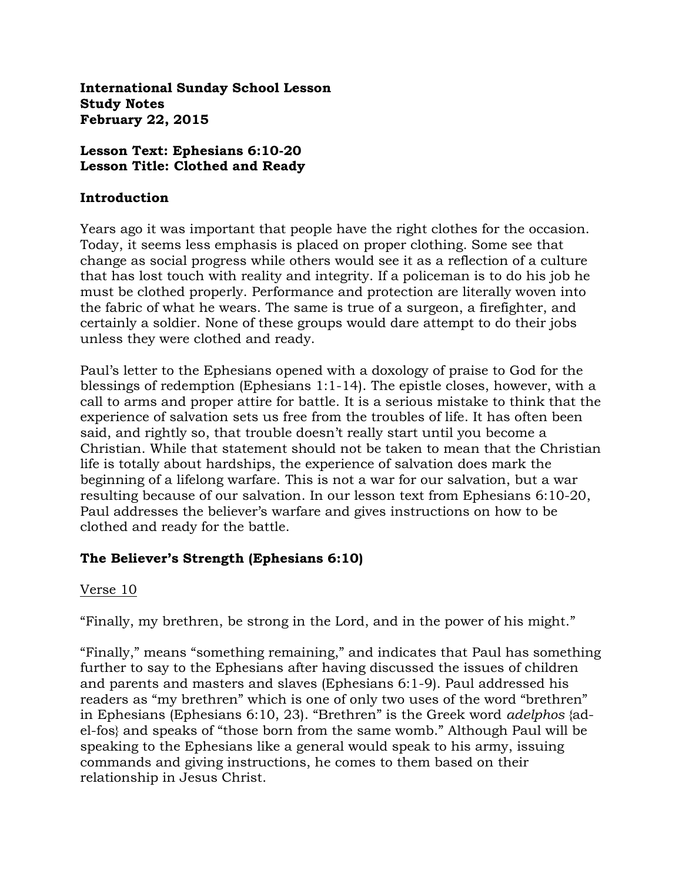**International Sunday School Lesson Study Notes February 22, 2015**

## **Lesson Text: Ephesians 6:10-20 Lesson Title: Clothed and Ready**

## **Introduction**

Years ago it was important that people have the right clothes for the occasion. Today, it seems less emphasis is placed on proper clothing. Some see that change as social progress while others would see it as a reflection of a culture that has lost touch with reality and integrity. If a policeman is to do his job he must be clothed properly. Performance and protection are literally woven into the fabric of what he wears. The same is true of a surgeon, a firefighter, and certainly a soldier. None of these groups would dare attempt to do their jobs unless they were clothed and ready.

Paul's letter to the Ephesians opened with a doxology of praise to God for the blessings of redemption (Ephesians 1:1-14). The epistle closes, however, with a call to arms and proper attire for battle. It is a serious mistake to think that the experience of salvation sets us free from the troubles of life. It has often been said, and rightly so, that trouble doesn't really start until you become a Christian. While that statement should not be taken to mean that the Christian life is totally about hardships, the experience of salvation does mark the beginning of a lifelong warfare. This is not a war for our salvation, but a war resulting because of our salvation. In our lesson text from Ephesians 6:10-20, Paul addresses the believer's warfare and gives instructions on how to be clothed and ready for the battle.

# **The Believer's Strength (Ephesians 6:10)**

# Verse 10

"Finally, my brethren, be strong in the Lord, and in the power of his might."

"Finally," means "something remaining," and indicates that Paul has something further to say to the Ephesians after having discussed the issues of children and parents and masters and slaves (Ephesians 6:1-9). Paul addressed his readers as "my brethren" which is one of only two uses of the word "brethren" in Ephesians (Ephesians 6:10, 23). "Brethren" is the Greek word *adelphos* {adel-fos} and speaks of "those born from the same womb." Although Paul will be speaking to the Ephesians like a general would speak to his army, issuing commands and giving instructions, he comes to them based on their relationship in Jesus Christ.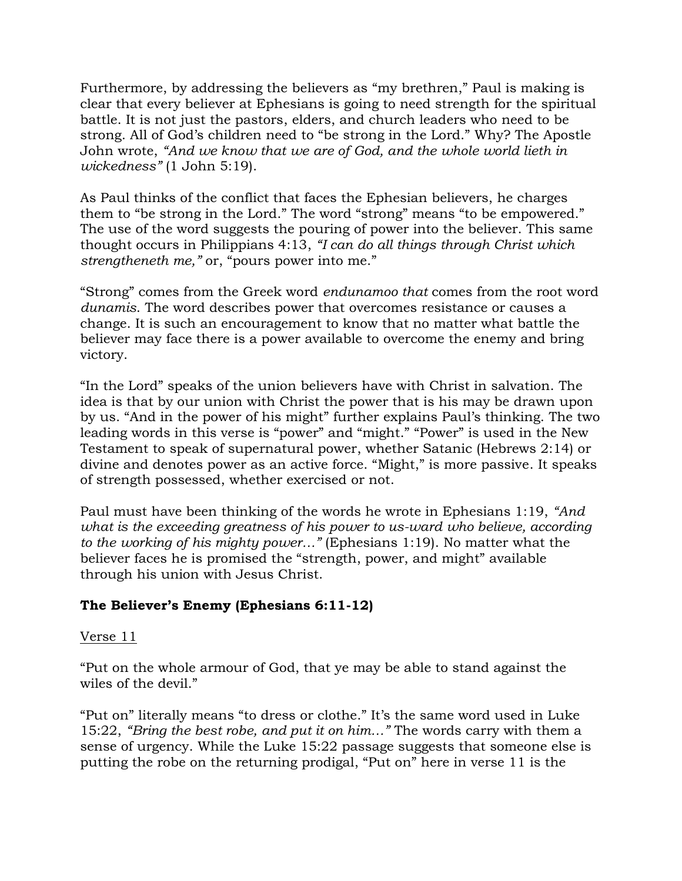Furthermore, by addressing the believers as "my brethren," Paul is making is clear that every believer at Ephesians is going to need strength for the spiritual battle. It is not just the pastors, elders, and church leaders who need to be strong. All of God's children need to "be strong in the Lord." Why? The Apostle John wrote, *"And we know that we are of God, and the whole world lieth in wickedness"* (1 John 5:19).

As Paul thinks of the conflict that faces the Ephesian believers, he charges them to "be strong in the Lord." The word "strong" means "to be empowered." The use of the word suggests the pouring of power into the believer. This same thought occurs in Philippians 4:13, *"I can do all things through Christ which strengtheneth me,"* or, "pours power into me."

"Strong" comes from the Greek word *endunamoo that* comes from the root word *dunamis*. The word describes power that overcomes resistance or causes a change. It is such an encouragement to know that no matter what battle the believer may face there is a power available to overcome the enemy and bring victory.

"In the Lord" speaks of the union believers have with Christ in salvation. The idea is that by our union with Christ the power that is his may be drawn upon by us. "And in the power of his might" further explains Paul's thinking. The two leading words in this verse is "power" and "might." "Power" is used in the New Testament to speak of supernatural power, whether Satanic (Hebrews 2:14) or divine and denotes power as an active force. "Might," is more passive. It speaks of strength possessed, whether exercised or not.

Paul must have been thinking of the words he wrote in Ephesians 1:19, *"And what is the exceeding greatness of his power to us-ward who believe, according to the working of his mighty power…"* (Ephesians 1:19). No matter what the believer faces he is promised the "strength, power, and might" available through his union with Jesus Christ.

# **The Believer's Enemy (Ephesians 6:11-12)**

## Verse 11

"Put on the whole armour of God, that ye may be able to stand against the wiles of the devil."

"Put on" literally means "to dress or clothe." It's the same word used in Luke 15:22, *"Bring the best robe, and put it on him…"* The words carry with them a sense of urgency. While the Luke 15:22 passage suggests that someone else is putting the robe on the returning prodigal, "Put on" here in verse 11 is the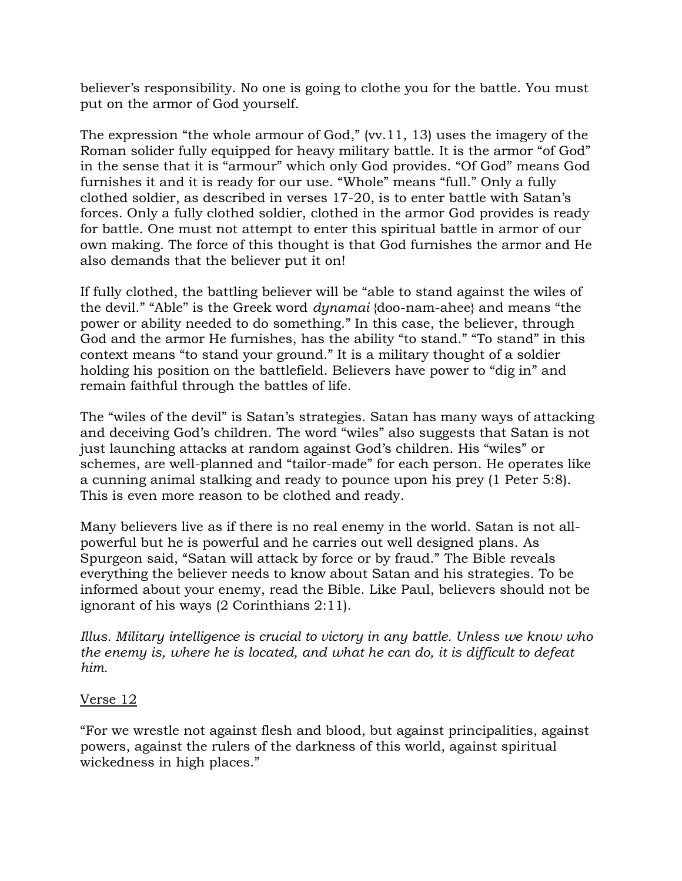believer's responsibility. No one is going to clothe you for the battle. You must put on the armor of God yourself.

The expression "the whole armour of God," (vv.11, 13) uses the imagery of the Roman solider fully equipped for heavy military battle. It is the armor "of God" in the sense that it is "armour" which only God provides. "Of God" means God furnishes it and it is ready for our use. "Whole" means "full." Only a fully clothed soldier, as described in verses 17-20, is to enter battle with Satan's forces. Only a fully clothed soldier, clothed in the armor God provides is ready for battle. One must not attempt to enter this spiritual battle in armor of our own making. The force of this thought is that God furnishes the armor and He also demands that the believer put it on!

If fully clothed, the battling believer will be "able to stand against the wiles of the devil." "Able" is the Greek word *dynamai* {doo-nam-ahee} and means "the power or ability needed to do something." In this case, the believer, through God and the armor He furnishes, has the ability "to stand." "To stand" in this context means "to stand your ground." It is a military thought of a soldier holding his position on the battlefield. Believers have power to "dig in" and remain faithful through the battles of life.

The "wiles of the devil" is Satan's strategies. Satan has many ways of attacking and deceiving God's children. The word "wiles" also suggests that Satan is not just launching attacks at random against God's children. His "wiles" or schemes, are well-planned and "tailor-made" for each person. He operates like a cunning animal stalking and ready to pounce upon his prey (1 Peter 5:8). This is even more reason to be clothed and ready.

Many believers live as if there is no real enemy in the world. Satan is not allpowerful but he is powerful and he carries out well designed plans. As Spurgeon said, "Satan will attack by force or by fraud." The Bible reveals everything the believer needs to know about Satan and his strategies. To be informed about your enemy, read the Bible. Like Paul, believers should not be ignorant of his ways (2 Corinthians 2:11).

*Illus. Military intelligence is crucial to victory in any battle. Unless we know who the enemy is, where he is located, and what he can do, it is difficult to defeat him.* 

## Verse 12

"For we wrestle not against flesh and blood, but against principalities, against powers, against the rulers of the darkness of this world, against spiritual wickedness in high places."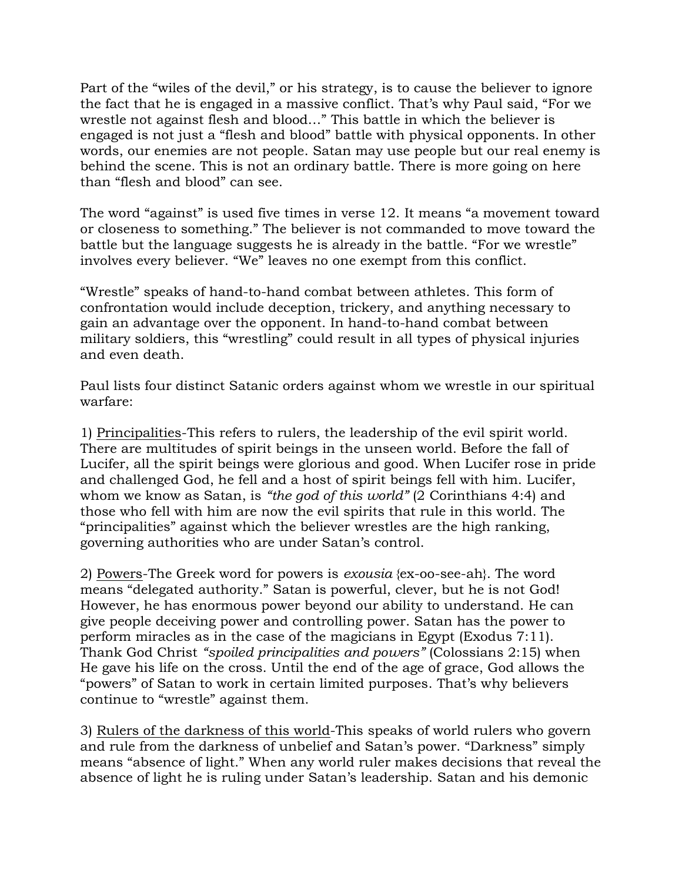Part of the "wiles of the devil," or his strategy, is to cause the believer to ignore the fact that he is engaged in a massive conflict. That's why Paul said, "For we wrestle not against flesh and blood…" This battle in which the believer is engaged is not just a "flesh and blood" battle with physical opponents. In other words, our enemies are not people. Satan may use people but our real enemy is behind the scene. This is not an ordinary battle. There is more going on here than "flesh and blood" can see.

The word "against" is used five times in verse 12. It means "a movement toward or closeness to something." The believer is not commanded to move toward the battle but the language suggests he is already in the battle. "For we wrestle" involves every believer. "We" leaves no one exempt from this conflict.

"Wrestle" speaks of hand-to-hand combat between athletes. This form of confrontation would include deception, trickery, and anything necessary to gain an advantage over the opponent. In hand-to-hand combat between military soldiers, this "wrestling" could result in all types of physical injuries and even death.

Paul lists four distinct Satanic orders against whom we wrestle in our spiritual warfare:

1) Principalities-This refers to rulers, the leadership of the evil spirit world. There are multitudes of spirit beings in the unseen world. Before the fall of Lucifer, all the spirit beings were glorious and good. When Lucifer rose in pride and challenged God, he fell and a host of spirit beings fell with him. Lucifer, whom we know as Satan, is "the god of this world" (2 Corinthians 4:4) and those who fell with him are now the evil spirits that rule in this world. The "principalities" against which the believer wrestles are the high ranking, governing authorities who are under Satan's control.

2) Powers-The Greek word for powers is *exousia* {ex-oo-see-ah}. The word means "delegated authority." Satan is powerful, clever, but he is not God! However, he has enormous power beyond our ability to understand. He can give people deceiving power and controlling power. Satan has the power to perform miracles as in the case of the magicians in Egypt (Exodus 7:11). Thank God Christ *"spoiled principalities and powers"* (Colossians 2:15) when He gave his life on the cross. Until the end of the age of grace, God allows the "powers" of Satan to work in certain limited purposes. That's why believers continue to "wrestle" against them.

3) Rulers of the darkness of this world-This speaks of world rulers who govern and rule from the darkness of unbelief and Satan's power. "Darkness" simply means "absence of light." When any world ruler makes decisions that reveal the absence of light he is ruling under Satan's leadership. Satan and his demonic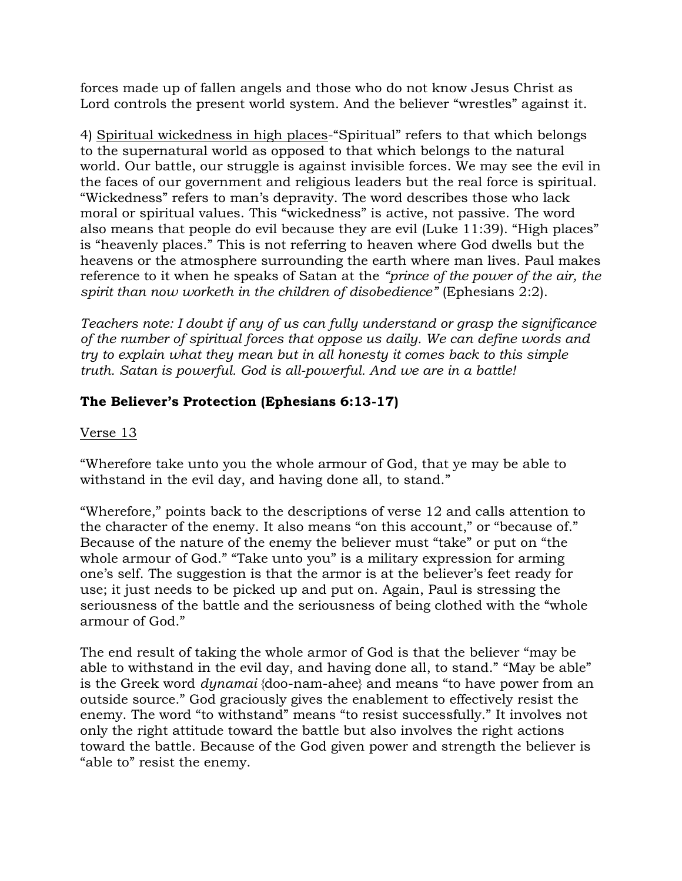forces made up of fallen angels and those who do not know Jesus Christ as Lord controls the present world system. And the believer "wrestles" against it.

4) Spiritual wickedness in high places-"Spiritual" refers to that which belongs to the supernatural world as opposed to that which belongs to the natural world. Our battle, our struggle is against invisible forces. We may see the evil in the faces of our government and religious leaders but the real force is spiritual. "Wickedness" refers to man's depravity. The word describes those who lack moral or spiritual values. This "wickedness" is active, not passive. The word also means that people do evil because they are evil (Luke 11:39). "High places" is "heavenly places." This is not referring to heaven where God dwells but the heavens or the atmosphere surrounding the earth where man lives. Paul makes reference to it when he speaks of Satan at the *"prince of the power of the air, the spirit than now worketh in the children of disobedience"* (Ephesians 2:2).

*Teachers note: I doubt if any of us can fully understand or grasp the significance of the number of spiritual forces that oppose us daily. We can define words and try to explain what they mean but in all honesty it comes back to this simple truth. Satan is powerful. God is all-powerful. And we are in a battle!*

# **The Believer's Protection (Ephesians 6:13-17)**

# Verse 13

"Wherefore take unto you the whole armour of God, that ye may be able to withstand in the evil day, and having done all, to stand."

"Wherefore," points back to the descriptions of verse 12 and calls attention to the character of the enemy. It also means "on this account," or "because of." Because of the nature of the enemy the believer must "take" or put on "the whole armour of God." "Take unto you" is a military expression for arming one's self. The suggestion is that the armor is at the believer's feet ready for use; it just needs to be picked up and put on. Again, Paul is stressing the seriousness of the battle and the seriousness of being clothed with the "whole armour of God."

The end result of taking the whole armor of God is that the believer "may be able to withstand in the evil day, and having done all, to stand." "May be able" is the Greek word *dynamai* {doo-nam-ahee} and means "to have power from an outside source." God graciously gives the enablement to effectively resist the enemy. The word "to withstand" means "to resist successfully." It involves not only the right attitude toward the battle but also involves the right actions toward the battle. Because of the God given power and strength the believer is "able to" resist the enemy.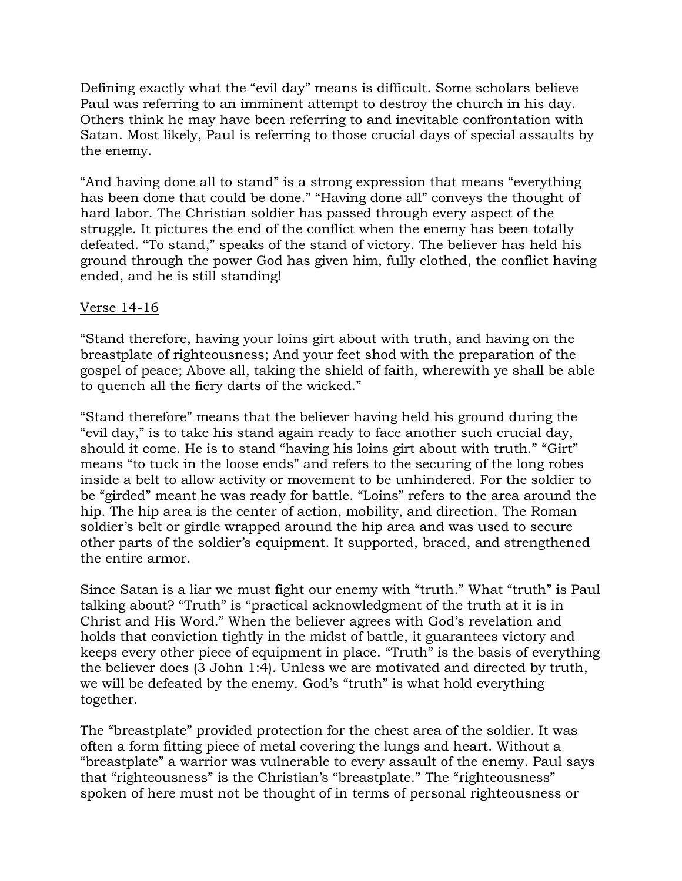Defining exactly what the "evil day" means is difficult. Some scholars believe Paul was referring to an imminent attempt to destroy the church in his day. Others think he may have been referring to and inevitable confrontation with Satan. Most likely, Paul is referring to those crucial days of special assaults by the enemy.

"And having done all to stand" is a strong expression that means "everything has been done that could be done." "Having done all" conveys the thought of hard labor. The Christian soldier has passed through every aspect of the struggle. It pictures the end of the conflict when the enemy has been totally defeated. "To stand," speaks of the stand of victory. The believer has held his ground through the power God has given him, fully clothed, the conflict having ended, and he is still standing!

## Verse 14-16

"Stand therefore, having your loins girt about with truth, and having on the breastplate of righteousness; And your feet shod with the preparation of the gospel of peace; Above all, taking the shield of faith, wherewith ye shall be able to quench all the fiery darts of the wicked."

"Stand therefore" means that the believer having held his ground during the "evil day," is to take his stand again ready to face another such crucial day, should it come. He is to stand "having his loins girt about with truth." "Girt" means "to tuck in the loose ends" and refers to the securing of the long robes inside a belt to allow activity or movement to be unhindered. For the soldier to be "girded" meant he was ready for battle. "Loins" refers to the area around the hip. The hip area is the center of action, mobility, and direction. The Roman soldier's belt or girdle wrapped around the hip area and was used to secure other parts of the soldier's equipment. It supported, braced, and strengthened the entire armor.

Since Satan is a liar we must fight our enemy with "truth." What "truth" is Paul talking about? "Truth" is "practical acknowledgment of the truth at it is in Christ and His Word." When the believer agrees with God's revelation and holds that conviction tightly in the midst of battle, it guarantees victory and keeps every other piece of equipment in place. "Truth" is the basis of everything the believer does (3 John 1:4). Unless we are motivated and directed by truth, we will be defeated by the enemy. God's "truth" is what hold everything together.

The "breastplate" provided protection for the chest area of the soldier. It was often a form fitting piece of metal covering the lungs and heart. Without a "breastplate" a warrior was vulnerable to every assault of the enemy. Paul says that "righteousness" is the Christian's "breastplate." The "righteousness" spoken of here must not be thought of in terms of personal righteousness or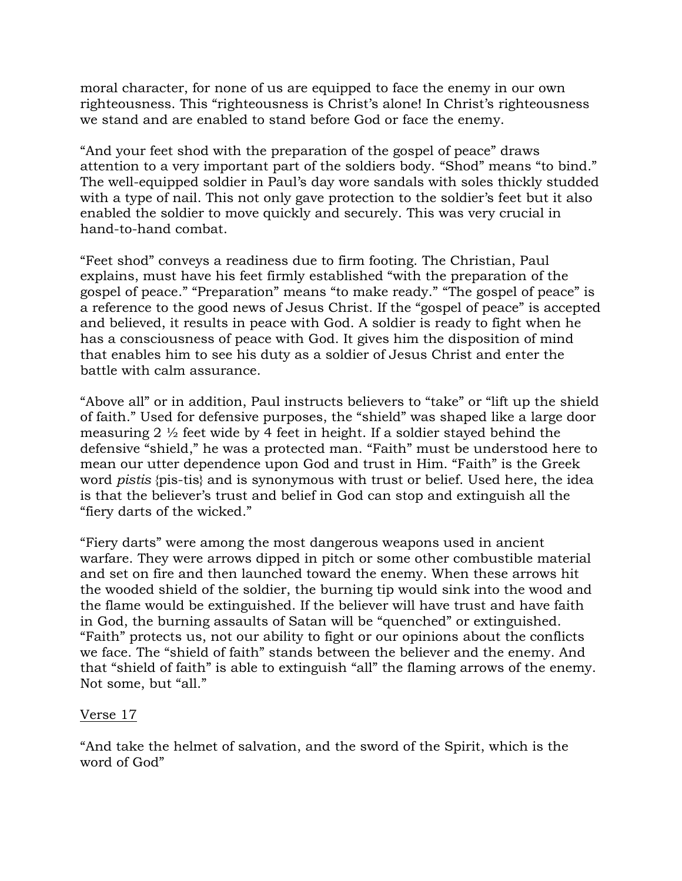moral character, for none of us are equipped to face the enemy in our own righteousness. This "righteousness is Christ's alone! In Christ's righteousness we stand and are enabled to stand before God or face the enemy.

"And your feet shod with the preparation of the gospel of peace" draws attention to a very important part of the soldiers body. "Shod" means "to bind." The well-equipped soldier in Paul's day wore sandals with soles thickly studded with a type of nail. This not only gave protection to the soldier's feet but it also enabled the soldier to move quickly and securely. This was very crucial in hand-to-hand combat.

"Feet shod" conveys a readiness due to firm footing. The Christian, Paul explains, must have his feet firmly established "with the preparation of the gospel of peace." "Preparation" means "to make ready." "The gospel of peace" is a reference to the good news of Jesus Christ. If the "gospel of peace" is accepted and believed, it results in peace with God. A soldier is ready to fight when he has a consciousness of peace with God. It gives him the disposition of mind that enables him to see his duty as a soldier of Jesus Christ and enter the battle with calm assurance.

"Above all" or in addition, Paul instructs believers to "take" or "lift up the shield of faith." Used for defensive purposes, the "shield" was shaped like a large door measuring  $2 \frac{1}{2}$  feet wide by 4 feet in height. If a soldier stayed behind the defensive "shield," he was a protected man. "Faith" must be understood here to mean our utter dependence upon God and trust in Him. "Faith" is the Greek word *pistis* {pis-tis} and is synonymous with trust or belief. Used here, the idea is that the believer's trust and belief in God can stop and extinguish all the "fiery darts of the wicked."

"Fiery darts" were among the most dangerous weapons used in ancient warfare. They were arrows dipped in pitch or some other combustible material and set on fire and then launched toward the enemy. When these arrows hit the wooded shield of the soldier, the burning tip would sink into the wood and the flame would be extinguished. If the believer will have trust and have faith in God, the burning assaults of Satan will be "quenched" or extinguished. "Faith" protects us, not our ability to fight or our opinions about the conflicts we face. The "shield of faith" stands between the believer and the enemy. And that "shield of faith" is able to extinguish "all" the flaming arrows of the enemy. Not some, but "all."

# Verse 17

"And take the helmet of salvation, and the sword of the Spirit, which is the word of God"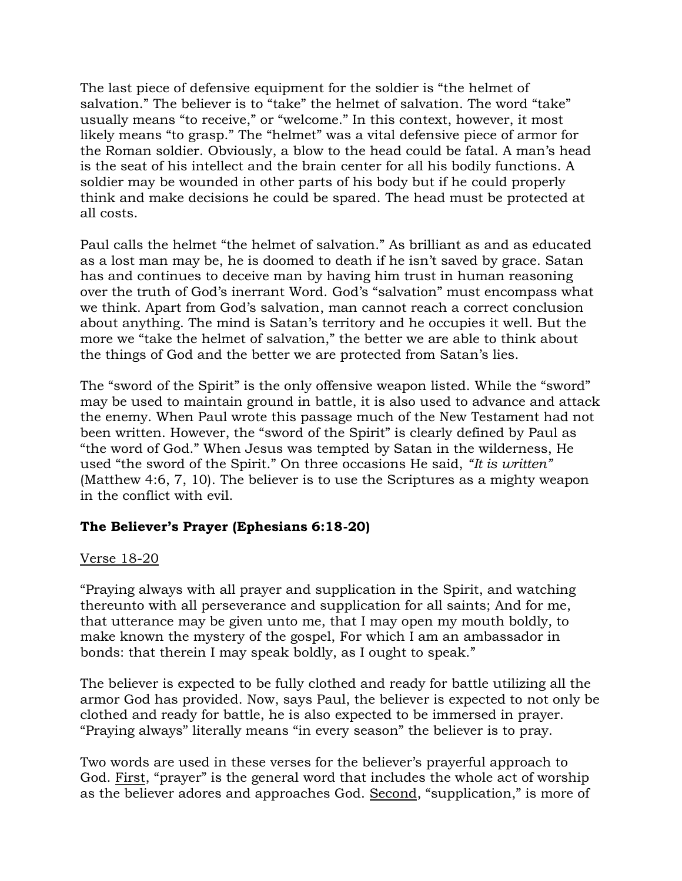The last piece of defensive equipment for the soldier is "the helmet of salvation." The believer is to "take" the helmet of salvation. The word "take" usually means "to receive," or "welcome." In this context, however, it most likely means "to grasp." The "helmet" was a vital defensive piece of armor for the Roman soldier. Obviously, a blow to the head could be fatal. A man's head is the seat of his intellect and the brain center for all his bodily functions. A soldier may be wounded in other parts of his body but if he could properly think and make decisions he could be spared. The head must be protected at all costs.

Paul calls the helmet "the helmet of salvation." As brilliant as and as educated as a lost man may be, he is doomed to death if he isn't saved by grace. Satan has and continues to deceive man by having him trust in human reasoning over the truth of God's inerrant Word. God's "salvation" must encompass what we think. Apart from God's salvation, man cannot reach a correct conclusion about anything. The mind is Satan's territory and he occupies it well. But the more we "take the helmet of salvation," the better we are able to think about the things of God and the better we are protected from Satan's lies.

The "sword of the Spirit" is the only offensive weapon listed. While the "sword" may be used to maintain ground in battle, it is also used to advance and attack the enemy. When Paul wrote this passage much of the New Testament had not been written. However, the "sword of the Spirit" is clearly defined by Paul as "the word of God." When Jesus was tempted by Satan in the wilderness, He used "the sword of the Spirit." On three occasions He said, *"It is written"*  (Matthew 4:6, 7, 10). The believer is to use the Scriptures as a mighty weapon in the conflict with evil.

# **The Believer's Prayer (Ephesians 6:18-20)**

## Verse 18-20

"Praying always with all prayer and supplication in the Spirit, and watching thereunto with all perseverance and supplication for all saints; And for me, that utterance may be given unto me, that I may open my mouth boldly, to make known the mystery of the gospel, For which I am an ambassador in bonds: that therein I may speak boldly, as I ought to speak."

The believer is expected to be fully clothed and ready for battle utilizing all the armor God has provided. Now, says Paul, the believer is expected to not only be clothed and ready for battle, he is also expected to be immersed in prayer. "Praying always" literally means "in every season" the believer is to pray.

Two words are used in these verses for the believer's prayerful approach to God. First, "prayer" is the general word that includes the whole act of worship as the believer adores and approaches God. Second, "supplication," is more of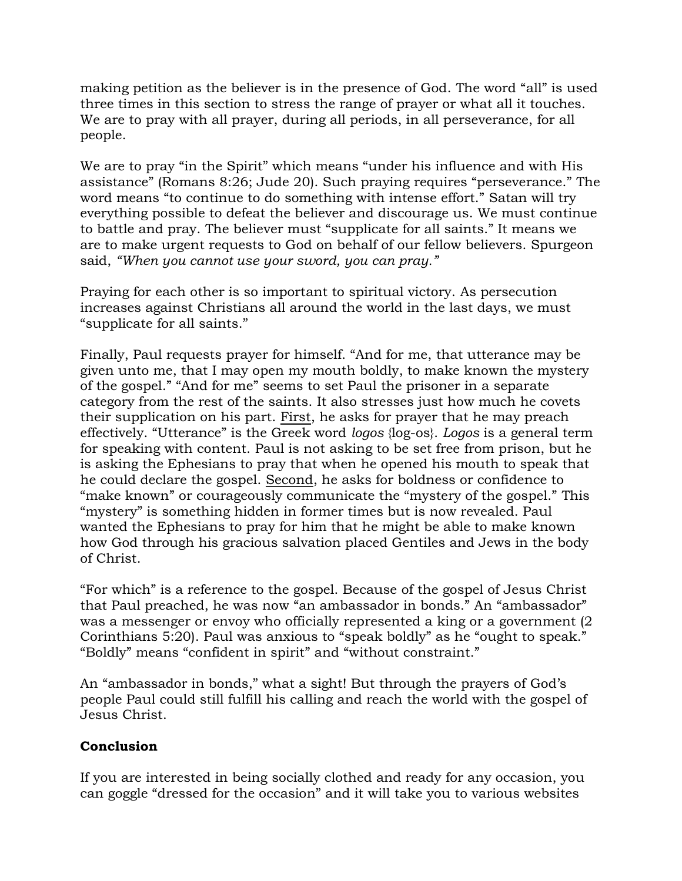making petition as the believer is in the presence of God. The word "all" is used three times in this section to stress the range of prayer or what all it touches. We are to pray with all prayer, during all periods, in all perseverance, for all people.

We are to pray "in the Spirit" which means "under his influence and with His assistance" (Romans 8:26; Jude 20). Such praying requires "perseverance." The word means "to continue to do something with intense effort." Satan will try everything possible to defeat the believer and discourage us. We must continue to battle and pray. The believer must "supplicate for all saints." It means we are to make urgent requests to God on behalf of our fellow believers. Spurgeon said, *"When you cannot use your sword, you can pray."* 

Praying for each other is so important to spiritual victory. As persecution increases against Christians all around the world in the last days, we must "supplicate for all saints."

Finally, Paul requests prayer for himself. "And for me, that utterance may be given unto me, that I may open my mouth boldly, to make known the mystery of the gospel." "And for me" seems to set Paul the prisoner in a separate category from the rest of the saints. It also stresses just how much he covets their supplication on his part. First, he asks for prayer that he may preach effectively. "Utterance" is the Greek word *logos* {log-os}. *Logos* is a general term for speaking with content. Paul is not asking to be set free from prison, but he is asking the Ephesians to pray that when he opened his mouth to speak that he could declare the gospel. Second, he asks for boldness or confidence to "make known" or courageously communicate the "mystery of the gospel." This "mystery" is something hidden in former times but is now revealed. Paul wanted the Ephesians to pray for him that he might be able to make known how God through his gracious salvation placed Gentiles and Jews in the body of Christ.

"For which" is a reference to the gospel. Because of the gospel of Jesus Christ that Paul preached, he was now "an ambassador in bonds." An "ambassador" was a messenger or envoy who officially represented a king or a government (2 Corinthians 5:20). Paul was anxious to "speak boldly" as he "ought to speak." "Boldly" means "confident in spirit" and "without constraint."

An "ambassador in bonds," what a sight! But through the prayers of God's people Paul could still fulfill his calling and reach the world with the gospel of Jesus Christ.

# **Conclusion**

If you are interested in being socially clothed and ready for any occasion, you can goggle "dressed for the occasion" and it will take you to various websites